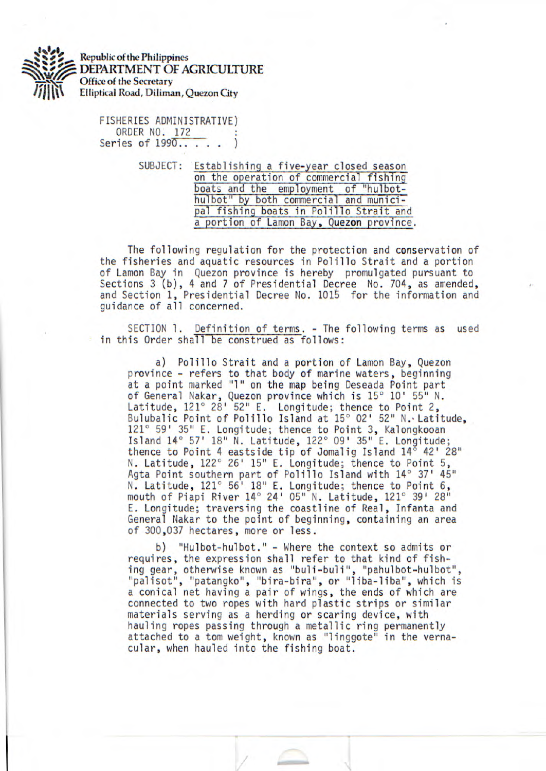

Republic of the Philippines DEPARTMENT OF AGRICULTURE Office of the Secretary Elliptical Road, Diliman, Quezon City

> FISHERIES ADMINISTRATIVE) ORDER NO. 172 Series of 1990...

> > SUBJECT: Establishinq a five-year closed season on the operation of commercial fishing boats and the employment of "hulbothulbot" by both commercial and municipal fishing boats in Polillo Strait and a portion of Lamon Bay, Quezon province.

The following regulation for the protection and conservation of the fisheries and aquatic resources in Polillo Strait and a portion of Lamon Bay in Quezon province is hereby promulgated pursuant to Sections 3 (b), 4 and 7 of Presidential Decree No. 704, as amended, and Section 1, Presidential Decree No. 1015 for the information and guidance of all concerned.

SECTION 1. Definition of terms. - The following terms as used in this Order shall be construed as follows:

a) Polillo Strait and a portion of Lamon Bay, Quezon province - refers to that body of marine waters, beginning at a point marked "1" on the map being Deseada Point part of General Nakar, Quezon province which is 15° 10' 55" N. Latitude, 121° 28' 52" E. Longitude; thence to Point 2, Bulubalic Point of Polillo Island at 15° 02' 52" N. Latitude, 121° 59' 35" E. Longitude; thence to Point 3, Kalongkooan Island 14° 57' 18" N. Latitude, 122° 09' 35" E. Longitude; thence to Point 4 eastside tip of Jomalig Island  $14^{\circ}$  42' 28" N. Latitude, 122° 26' 15" E. Longitude; thence to Point 5, Agta Point southern part of Polillo Island with  $14^{\circ}$  37'  $45^{\circ}$ N. Latitude, 121° 56' 18" E. Longitude; thence to Point 6, mouth of Piapi River 14° 24' 05" N. Latitude, 121° 39' 28" E. Longitude; traversing the coastline of Real, Infanta and General Nakar to the point of beginning, containing an area of 300,037 hectares, more or less.

b) "Hulbot-hulbot." - Where the context so admits or requires, the expression shall refer to that kind of fishing gear, otherwise known as "buli-buli", "pahulbot-hulbot", "palisot", "patangko", "bira-bira", or "liba-liba", which is a conical net having a pair of wings, the ends of which are connected to two ropes with hard plastic strips or similar materials serving as a herding or scaring device, with hauling ropes passing through a metallic ring permanently attached to a tom weight, known as "linggote" in the vernacular, when hauled into the fishing boat.